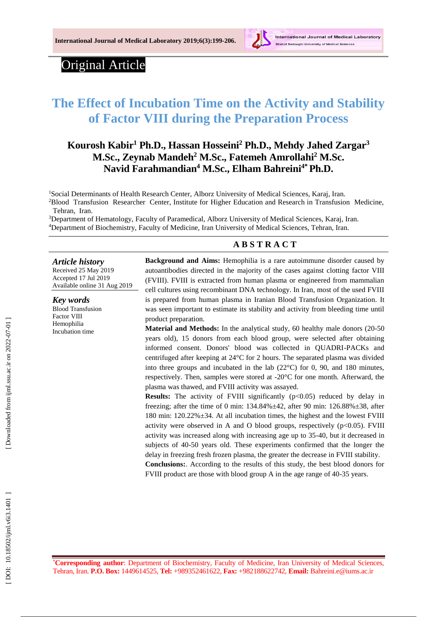

# Original Article

# **The Effect of Incubation Time on the Activity and Stability of Factor VIII d uring the Preparation Process**

# **Kourosh Kabir <sup>1</sup> Ph.D., Hassan Hosseini <sup>2</sup> Ph.D., Mehdy Jahed Zargar 3 M.Sc., Zeynab Mandeh <sup>2</sup> M.Sc., Fatemeh Amrollahi <sup>2</sup> M.Sc. Navid Farahmandian <sup>4</sup> M.Sc., Elham Bahreini4\*Ph.D.**

<sup>1</sup>Social Determinants of Health Research Center, Alborz University of Medical Sciences, Karaj, Iran. <sup>2</sup>Blood Transfusion Researcher Center, Institute for Higher Education and Research in Transfusion Medicine, Tehran, Iran.

<sup>3</sup>Department of Hematology, Faculty of Paramedical, Alborz University of Medical Sciences, Karaj, Iran. <sup>4</sup>Department of Biochemistry, Faculty of Medicine, Iran University of Medical Sciences, Tehran, Iran.

#### **A B S T R A C T**

*Article history* Received 2 5 May 201 9 Accepted 1 7 Jul 201 9 Available online 31 Aug 201 9

*Key words* Blood Transfusion Factor VIII Hemophilia Incubation time

**Background and Aims:** Hemophilia is a rare autoimmune disorder caused by autoantibodies directed in the majority of the cases against clotting factor VIII (FVIII). FVIII is extracted from human plasma or engineered from mammalian cell cultures using recombinant DNA technology. In Iran, most of the used FVIII is prepared from human plasma in Iranian Blood Transfusion Organization . It was seen important to estimate its stability and activity from bleeding time until product preparation.

Material and Methods: In the analytical study, 60 healthy male donors (20-50) years old), 15 donors from each blood group, were selected after obtaining informed consent. Donors' blood was collected in QUADRI -PACKs and centrifuged after keeping at 24°C for 2 hours. The separated plasma was divided into three groups and incubated in the lab (22°C) for 0, 90, and 180 minutes, respectively. Then, samples were stored at -20°C for one month. Afterward, the plasma was thawed, and FVIII activity was assayed.

**Results:** The activity of FVIII significantly (p<0.05) reduced by delay in freezing; after the time of 0 min:  $134.84\% \pm 42$ , after 90 min:  $126.88\% \pm 38$ , after 180 min: 120.22%±34. At all incubation times, the highest and the lowest FVIII activity were observed in A and O blood groups, respectively (p<0.05). FVIII activity was increased along with increasing age up to 35 -40, but it decreased in subjects of 40 -50 years old . These experiments confirmed that the longer the delay in freezing fresh frozen plasma, the greater the decrease in FVIII stability. **Conclusions:**. According to the results of this study, the best blood donors for FVIII product are those with blood group A in the age range of 40-35 years.

\***Corresponding author**: Department of Biochemistry, Faculty of Medicine, Iran University of Medical Sciences, Tehran, Iran. **P.O. Box:** 1449614525, **Tel:** +989352461622, **Fax:** +982188622742, **Email:** [Bahreini.e@iums.ac.ir](mailto:Bahreini.e@iums.ac.ir)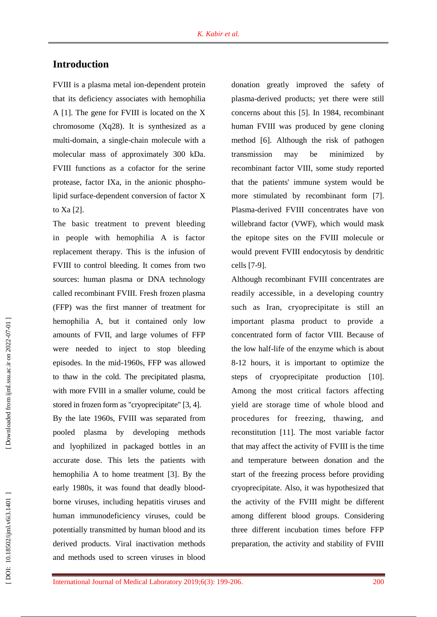## **Introduction**

FVIII is a plasma metal ion -dependent protein that its deficiency associates with hemophilia A [1]. The gene for FVIII is located on the X chromosome (Xq28). It is synthesized as a multi -domain, a single -chain molecule with a molecular mass of approximately 300 kDa. FVIII functions as a cofactor for the serine protease, factor IXa, in the anionic phospho lipid surface -dependent conversion of factor X to Xa [2] .

The basic treatment to prevent bleeding in people with hemophilia A is factor replacement therapy. This is the infusion of FVIII to control bleeding. It comes from two sources: human plasma or DNA technology called recombinant FVIII. Fresh frozen plasma (FFP) was the first manner of treatment for hemophilia A, but it contained only low amounts of FVII, and large volumes of FFP were needed to inject to stop bleeding episodes. In the mid -1960s, FFP was allowed to thaw in the cold. The precipitated plasma, with more FVIII in a smaller volume, could be stored in frozen form as "cryoprecipitate" [3, 4].

By the late 1960s, FVIII was separated from pooled plasma by developing methods and lyophilized in packaged bottles in an accurate dose. This lets the patients with hemophilia A to home treatment [3]. By the early 1980s, it was found that deadly blood borne viruses, including hepatitis viruses and human immunodeficiency viruses, could be potentially transmitted by human blood and its derived products. Viral inactivation methods and methods used to screen viruses in blood

donation greatly improved the safety of plasma -derived products ; yet there were still concerns about this [5]. In 1984, recombinant human FVIII was produced by gene cloning method [6]. Although the risk of pathogen transmission may be minimized by recombinant factor VIII, some study reported that the patients' immune system would be more stimulated by recombinant form [7]. Plasma -derived FVIII concentrates have von willebrand factor ( VWF), which would mask the epitope sites on the FVIII molecule or would prevent FVIII endocytosis by dendritic cells [7 -9] .

Although recombinant FVIII concentrates are readily accessible, in a developing country such as Iran, cryoprecipitate is still an important plasma product to provide a concentrated form of factor VIII. Because of the low half-life of the enzyme which is about 8-12 hours, it is important to optimize the steps of cryoprecipitate production [10]. Among the most critical factors affecting yield are storage time of whole blood and procedures for freezing, thawing, and reconstitution [11]. The most variable factor that may affect the activity of FVIII is the time and temperature between donation and the start of the freezing process before providing cryoprecipitate. Also, it was hypothesized that the activity of the FVIII might be different among different blood groups. Considering three different incubation times before FFP preparation, the activity and stability of FVIII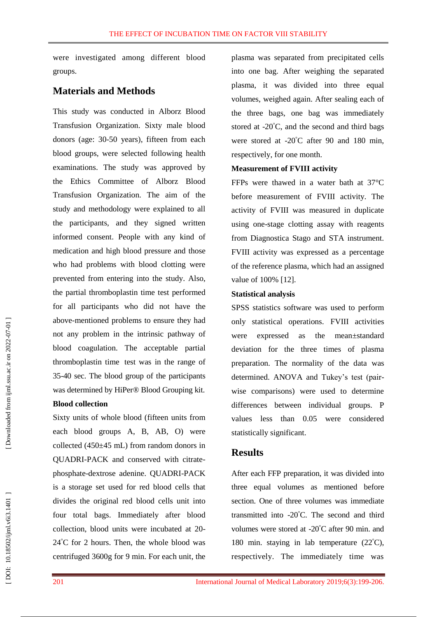were investigated among different blood groups.

### **Materials and Methods**

This study was conducted in Alborz Blood Transfusion Organization. Sixty male blood donors (age: 30 -50 years), fifteen from each blood groups, were selected following health examination s. The study was approved by the Ethics Committee of Alborz Blood Transfusion Organization. The aim of the study and methodology were explained to all the participants, and they signed written informed consent. People with any kind of medication and high blood pressure and those who had problems with blood clotting were prevented from entering into the study. Also, the partial thromboplastin time test performed for all participants who did not have the above -mentioned problems to ensure they had not any problem in the [intrinsic pathway of](https://www.google.com/url?sa=t&rct=j&q=&esrc=s&source=web&cd=14&cad=rja&uact=8&ved=0ahUKEwjntOG55r7TAhWEOhQKHXHODswQFghjMA0&url=https%3A%2F%2Fwww.britannica.com%2Fscience%2Fbleeding%2FIntrinsic-pathway-of-blood-coagulation&usg=AFQjCNEkGY9YUXGoU81RCFtBVHHSR3MEPw)  [blood coagulation.](https://www.google.com/url?sa=t&rct=j&q=&esrc=s&source=web&cd=14&cad=rja&uact=8&ved=0ahUKEwjntOG55r7TAhWEOhQKHXHODswQFghjMA0&url=https%3A%2F%2Fwww.britannica.com%2Fscience%2Fbleeding%2FIntrinsic-pathway-of-blood-coagulation&usg=AFQjCNEkGY9YUXGoU81RCFtBVHHSR3MEPw) The acceptable partial thromboplastin time test was in the range of 35 -40 sec. The blood group of the participants was determined by [HiPer® Blood Grouping](https://www.google.com/url?sa=t&rct=j&q=&esrc=s&source=web&cd=10&cad=rja&uact=8&ved=0ahUKEwiXnsrMt5DUAhUNZFAKHZnvD_cQFghDMAk&url=http%3A%2F%2Fhimedialabs.com%2FTD%2FHTI008.pdf&usg=AFQjCNGGzEudMp2_mVNMVzBbB4bjRXe_TA) kit.

#### **Blood collection**

Sixty units of whole blood (fifteen units from each blood groups A, B, AB, O) were collected (450±45 mL) from random donors in QUADRI -PACK and conserved with citrate phosphate -dextrose adenine. QUADRI -PACK is a storage set used for red blood cells that divides the original red blood cells unit into four total bags. Immediately after blood collection, blood units were incubated at 20 - 24 °C for 2 hours. Then, the whole blood was centrifuged 3600g for 9 min. For each unit, the

plasma was separated from precipitated cells into one bag. After weighing the separated plasma, it was divided into three equal volumes, weighed again. After sealing each of the three bags, one bag was immediately stored at  $-20^{\circ}$ C, and the second and third bags were stored at -20°C after 90 and 180 min, respectively, for one month.

#### **Measurement of FVIII activity**

FFPs were thawed in a water bath at 37°C before measurement of FVIII activity. The activity of FVIII was measured in duplicate using one -stage clotting assay with reagents from Diagnostica Stago and STA instrument. FVIII activity was expressed as a percentage of the reference plasma, which had an assigned value of 100% [12] .

#### **Statistical analysis**

SPSS statistics software was used to perform only statistical operations. FVIII activities were expressed as the mean±standard deviation for the three times of plasma preparation. The normality of the data was determined. ANOVA and Tukey's test (pair wise comparisons) were used to determine differences between individual groups. P values less than 0.05 were considered statistically significant.

#### **Results**

After each FFP preparation, it was divided into three equal volumes as mentioned before section. One of three volumes was immediate transmitted into -20 °C. The second and third volumes were stored at -20°C after 90 min. and 180 min. staying in lab temperature (22°C), respectively. The immediately time was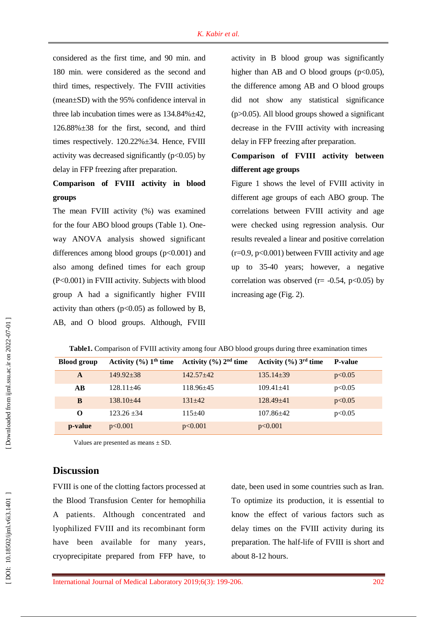considered as the first time, and 90 min . and 180 min . were considered as the second and third times, respectively. The FVIII activities (mean±SD) with the 95% confidence interval in three lab incubation times were as  $134.84\% \pm 42$ ,  $126.88\% \pm 38$  for the first, second, and third times respectively. 120.22% $\pm$ 34. Hence, FVIII activity was decreased significantly  $(p<0.05)$  by delay in FFP freezing after preparation.

# **Comparison of FVIII activity in blood groups**

The mean FVIII activity (%) was examined for the four ABO blood groups (Table 1). One way ANOVA analysis showed significant differences among blood groups (p<0.001) and also among defined times for each group (P<0.001) in FVIII activity. Subjects with blood group A had a significantly higher FVIII activity than others  $(p<0.05)$  as followed by B, AB, and O blood group s . Although, FVIII activity in B blood group was significantly higher than AB and O blood groups  $(p<0.05)$ , the difference among AB and O blood groups did not show any statistical significance (p>0.05). All blood groups showed a significant decrease in the FVIII activity with increasing delay in FFP freezing after preparation.

## **Comparison of FVIII activity between different age groups**

Figure 1 shows the level of FVIII activity in different age groups of each ABO group. The correlations between FVIII activity and age were checked using regression analysis. Our results revealed a linear and positive correlation  $(r=0.9, p<0.001)$  between FVIII activity and age up to 35-40 years; however, a negative correlation was observed ( $r = -0.54$ ,  $p < 0.05$ ) by increasing age (Fig. 2).

| <b>Blood group</b> |                 | Activity $\left(\frac{0}{0}\right)$ 1 <sup>th</sup> time Activity $\left(\frac{0}{0}\right)$ 2 <sup>nd</sup> time | Activity $(\% ) 3^{\text{rd}}$ time | <b>P-value</b> |
|--------------------|-----------------|-------------------------------------------------------------------------------------------------------------------|-------------------------------------|----------------|
| $\mathbf{A}$       | $149.92 + 38$   | $142.57 + 42$                                                                                                     | $135.14 + 39$                       | p<0.05         |
| AB                 | $128.11 + 46$   | $118.96 + 45$                                                                                                     | $109.41 + 41$                       | p<0.05         |
| B                  | $138.10 + 44$   | $131 + 42$                                                                                                        | $128.49 + 41$                       | p<0.05         |
| $\Omega$           | $123.26 \pm 34$ | $115+40$                                                                                                          | $107.86 + 42$                       | p<0.05         |
| p-value            | p<0.001         | p<0.001                                                                                                           | p<0.001                             |                |

**Table1.** Comparison of FVIII activity among four ABO blood groups during three examination times

Values are presented as means  $\pm$  SD.

### **Discussion**

FVIII is one of the clotting factors processed at the Blood Transfusion Center for hemophilia A patients. Although concentrated and lyophilized FVIII and its recombinant form have been available for many years, cryoprecipitate prepared from FFP have, to

date, been used in some countries such as Iran. To optimize its production, it is essential to know the effect of various factors such as delay times on the FVIII activity during its preparation. The half-life of FVIII is short and about 8 -12 hours.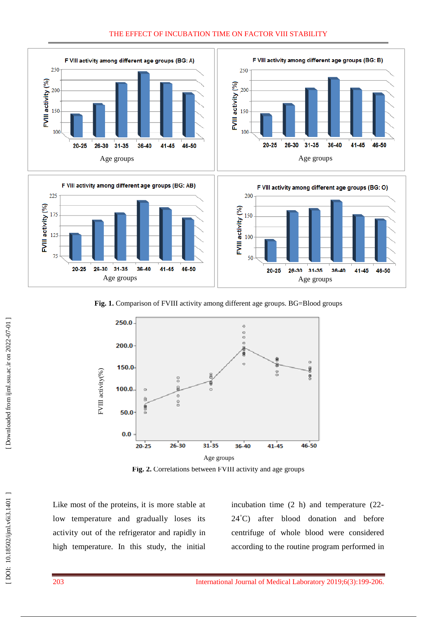#### THE EFFECT OF INCUBATION TIME ON FACTOR VIII STABILITY









**Fig. 1.** Comparison of FVIII activity among different age groups. BG=Blood groups



**Fig . 2.** Correlations between FVIII activity and age groups

Like most of the proteins, it is more stable at low temperature and gradually loses its activity out of the refrigerator and rapidly in high temperature . In this study, the initial

incubation time (2 h) and temperature (22 - 24 °C) after blood donation and before centrifuge of whole blood were considered according to the routine program performed in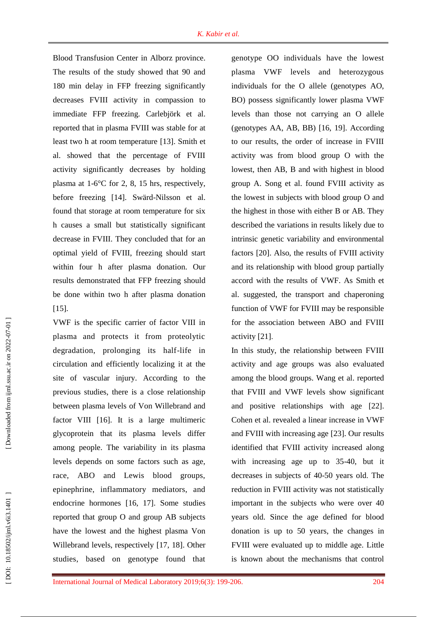Blood Transfusion Center in Alborz province. The results of the study showed that 90 and 180 min delay in FFP freezing significantly decrease s FVIII activity in compassion to immediate FFP freezing. [Carlebjörk e](https://www.ncbi.nlm.nih.gov/pubmed/?term=Carlebj%C3%B6rk%20G%5BAuthor%5D&cauthor=true&cauthor_uid=6414186)t al. reported that in plasma FVIII was stable for at least two h at room temperature [13]. [Smith](https://www.ncbi.nlm.nih.gov/pubmed/?term=Smith%20JF%5BAuthor%5D&cauthor=true&cauthor_uid=10729808) et al. showed that the percentage of FVIII activity significantly decreases by holding plasma at 1 - 6°C for 2, 8, 15 hrs, respectively, before freezing [14]. Swärd [-Nilsson](https://www.ncbi.nlm.nih.gov/pubmed/?term=Sw%C3%A4rd-Nilsson%20AM%5BAuthor%5D&cauthor=true&cauthor_uid=16359353) et al. found that storage at room temperature for six h cause s a small but statistically significant decrease in FVIII. They concluded that for an optimal yield of FVIII, freezing should start within four h after plasma donation. Our results demonstrated that FFP freezing should be done within two h after plasma donation [15].

VWF is the specific carrier of factor VIII in plasma and protects it from proteolytic degradation, prolonging its half -life in circulation and efficiently localizing it at the site of vascular injury. According to the previous studies, there is a close relationship between plasma levels of Von Willebrand and factor VIII [16]. It is a large multimeric glycoprotein that its plasma levels differ among people. The variability in its plasma levels depends on some factors such as age, race, ABO and Lewis blood groups, epinephrine, inflammatory mediators, and endocrine hormones [16, 17]. Some studies reported that group O and group AB subjects have the lowest and the highest plasma Von Willebrand levels, respectively [17, 18]. Other studies , based on genotype found that genotype OO individuals have the lowest plasma VWF levels and heterozygous individuals for the O allele (genotypes AO, BO) possess significantly lower plasma VWF levels than those not carrying an O allele (genotypes AA, AB, BB) [16, 19]. According to our results, the order of increase in FVIII activity was from blood group O with the lowest, then AB, B and with highest in blood group A. Song et al. found FVIII activity as the lowest in subjects with blood group O and the highest in those with either B or AB. They described the variations in results likely due to intrinsic genetic variability and environmental factors [20]. Also, the results of FVIII activity and its relationship with blood group partially accord with the results of VWF. As Smith et al. suggested, the transport and chaperoning function of VWF for FVIII may be responsible for the association between ABO and FVIII activity [21] .

In this study, the relationship between FVIII activity and age groups was also evaluated among the blood groups. Wang et al. reported that FVIII and VWF levels show significant and positive relationships with age [22]. Cohen et al. revealed a linear increase in VWF and FVIII with increasing age [23] . Our results identified that FVIII activity increased along with increasing age up to 35-40, but it decrease s in subjects of 40 -50 years old . The reduction in FVIII activity was not statistically important in the subjects who were over 40 years old. Since the age defined for blood donation is up to 50 years, the changes in FVIII were evaluated up to middle age. Little is known about the mechanisms that control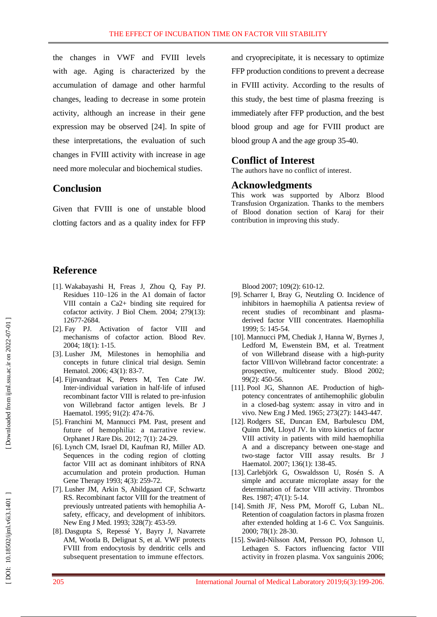the changes in VWF and FVIII levels with age. Aging is characterized by the accumulation of damage and other harmful changes, leading to decrease in some protein activity, although an increase in their gene expression may be observed [24]. In spite of these interpretations, the evaluation of such changes in FVIII activity with increase in age need more molecular and biochemical studies.

### **Conclusion**

Given that FVIII is one of unstable blood clotting factors and as a quality index for FFP

### **Reference**

- [1]. Wakabayashi H, Freas J, Zhou Q, Fay PJ. Residues 110 –126 in the A1 domain of factor VIII contain a Ca2+ binding site required for cofactor activity. J Biol Chem. 2004; 279(13): 12677 - 2 684.
- [ 2]. Fay PJ. Activation of factor VIII and mechanisms of cofactor action. Blood Re v. 2004; 18(1): 1 -15.
- [ 3]. Lusher JM, Milestones in hemophilia and concepts in future clinical trial design. Semin Hematol. 2006; 43(1): 83-7.
- [ 4]. Fijnvandraat K, Peters M, Ten Cate JW. Inter ‐individual variation in half‐life of infused recombinant factor VIII is related to pre ‐infusion von Willebrand factor antigen levels. Br J Haematol. 1995; 91(2): 474 - 76.
- [ 5]. Franchini M, Mannucci PM. Past, present and future of hemophilia: a narrative revie w. Orphanet J Rare Dis. 2012; 7(1): 24 -29 .
- [ 6]. Lynch CM, Israel DI, Kaufman RJ, Miller AD. Sequences in the coding region of clotting factor VIII act as dominant inhibitors of RNA accumulation and protein production. Human Gene Therapy 1993; 4(3): 259-72.
- [ 7]. Lusher JM, Arkin S, Abildgaard CF, Schwartz RS. Recombinant factor VIII for the treatment of previously untreated patients with hemophilia A safety, efficacy, and development of inhibitors. New Eng J Med. 1993; 328(7): 453-59.
- [ 8]. Dasgupta S, Repessé Y, Bayry J, Navarrete AM, Wootla B, Delignat S, et al. VWF protects FVIII from endocytosis by dendritic cells and subsequent presentation to immune effectors.

and cryoprecipitate, it is necessary to optimize FFP production conditions to prevent a decrease in FVIII activity . According to the results of this study, the best time of plasma freezing is immediately after FFP production, and the best blood group and age for FVIII product are blood group A and the age group 35 -40.

#### **Conflict of Interest**

The authors have no conflict of interest .

#### **Acknowledgments**

This work was supported by Alborz Blood Transfusion Organization. Thanks to the members of Blood donation section of Karaj for their contribution in improving this study.

Blood 2007; 109(2): 610 - 12.

- [ 9]. Scharrer I, Bray G, Neutzling O. Incidence of inhibitors in haemophilia A patientsa review of recent studies of recombinant and plasma derived factor VIII concentrates. Haemophilia 1999; 5: 145 -54.
- [10]. Mannucci PM, Chediak J, Hanna W, Byrnes J, Ledford M, Ewenstein BM, et al. Treatment of von Willebrand disease with a high -purity factor VIII/von Willebrand factor concentrate: a prospective, multicenter study. Blood 2002; 99(2): 450 - 56.
- [11]. Pool JG, Shannon AE. Production of high potency concentrates of antihemophilic globulin in a closed -bag system: assay in vitro and in vivo. New Eng J Med. 1965; 273(27): 1443 -447.
- [12]. Rodgers SE, Duncan EM, Barbulescu DM, Quinn DM, Lloyd JV. In vitro kinetics of factor VIII activity in patients with mild haemophilia A and a discrepancy between one ‐stage and two ‐stage factor VIII assay results. Br J Haematol. 2007; 136(1): 138 -45.
- [13]. Carlebjörk G, Oswaldsson U, Rosén S. A simple and accurate microplate assay for the determination of factor VIII activity. Thrombos Res. 1987; 47(1): 5-14.
- [14]. Smith JF, Ness PM, Moroff G, Luban NL. Retention of coagulation factors in plasma frozen after extended holding at 1 -6 C. Vox Sanguinis. 2000; 78(1): 28 -30.
- [15]. Swärd ‐Nilsson AM, Persson PO, Johnson U, Lethagen S. Factors influencing factor VIII activity in frozen plasma. Vox sanguinis 2006;